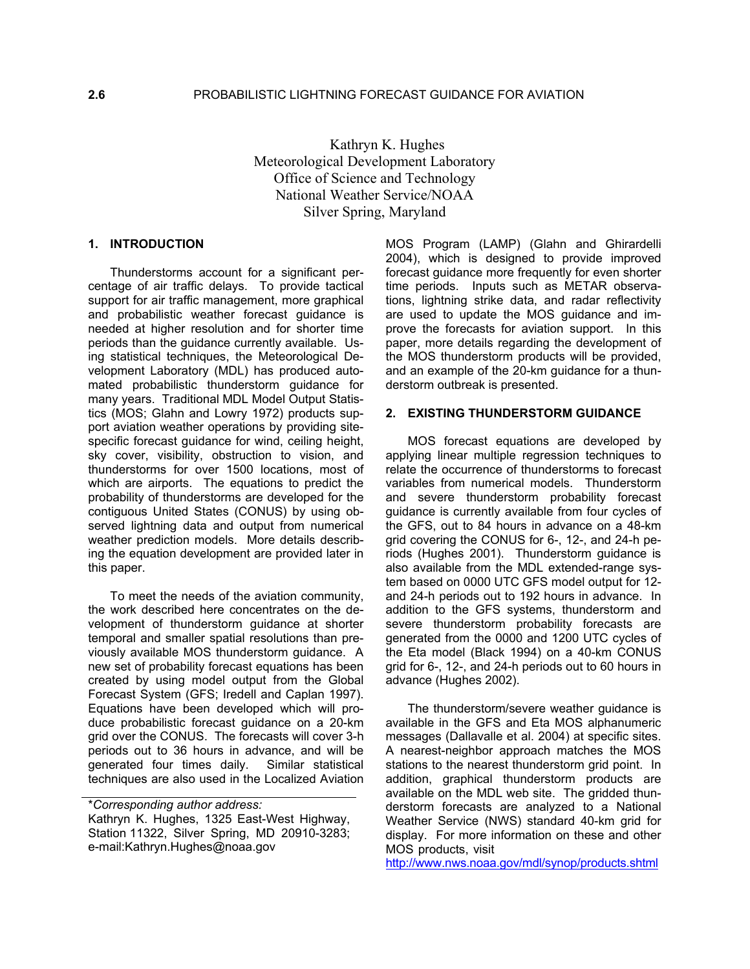# Kathryn K. Hughes Meteorological Development Laboratory Office of Science and Technology National Weather Service/NOAA Silver Spring, Maryland

# **1. INTRODUCTION**

Thunderstorms account for a significant percentage of air traffic delays. To provide tactical support for air traffic management, more graphical and probabilistic weather forecast guidance is needed at higher resolution and for shorter time periods than the guidance currently available. Using statistical techniques, the Meteorological Development Laboratory (MDL) has produced automated probabilistic thunderstorm guidance for many years. Traditional MDL Model Output Statistics (MOS; Glahn and Lowry 1972) products support aviation weather operations by providing sitespecific forecast guidance for wind, ceiling height, sky cover, visibility, obstruction to vision, and thunderstorms for over 1500 locations, most of which are airports. The equations to predict the probability of thunderstorms are developed for the contiguous United States (CONUS) by using observed lightning data and output from numerical weather prediction models. More details describing the equation development are provided later in this paper.

To meet the needs of the aviation community, the work described here concentrates on the development of thunderstorm guidance at shorter temporal and smaller spatial resolutions than previously available MOS thunderstorm guidance. A new set of probability forecast equations has been created by using model output from the Global Forecast System (GFS; Iredell and Caplan 1997). Equations have been developed which will produce probabilistic forecast guidance on a 20-km grid over the CONUS. The forecasts will cover 3-h periods out to 36 hours in advance, and will be generated four times daily. Similar statistical techniques are also used in the Localized Aviation

\**Corresponding author address:* Kathryn K. Hughes, 1325 East-West Highway, Station 11322, Silver Spring, MD 20910-3283; e-mail:Kathryn.Hughes@noaa.gov

MOS Program (LAMP) (Glahn and Ghirardelli 2004), which is designed to provide improved forecast guidance more frequently for even shorter time periods. Inputs such as METAR observations, lightning strike data, and radar reflectivity are used to update the MOS guidance and improve the forecasts for aviation support. In this paper, more details regarding the development of the MOS thunderstorm products will be provided, and an example of the 20-km guidance for a thunderstorm outbreak is presented.

#### **2. EXISTING THUNDERSTORM GUIDANCE**

 MOS forecast equations are developed by applying linear multiple regression techniques to relate the occurrence of thunderstorms to forecast variables from numerical models. Thunderstorm and severe thunderstorm probability forecast guidance is currently available from four cycles of the GFS, out to 84 hours in advance on a 48-km grid covering the CONUS for 6-, 12-, and 24-h periods (Hughes 2001). Thunderstorm guidance is also available from the MDL extended-range system based on 0000 UTC GFS model output for 12 and 24-h periods out to 192 hours in advance. In addition to the GFS systems, thunderstorm and severe thunderstorm probability forecasts are generated from the 0000 and 1200 UTC cycles of the Eta model (Black 1994) on a 40-km CONUS grid for 6-, 12-, and 24-h periods out to 60 hours in advance (Hughes 2002).

 The thunderstorm/severe weather guidance is available in the GFS and Eta MOS alphanumeric messages (Dallavalle et al. 2004) at specific sites. A nearest-neighbor approach matches the MOS stations to the nearest thunderstorm grid point. In addition, graphical thunderstorm products are available on the MDL web site. The gridded thunderstorm forecasts are analyzed to a National Weather Service (NWS) standard 40-km grid for display. For more information on these and other MOS products, visit

http://www.nws.noaa.gov/mdl/synop/products.shtml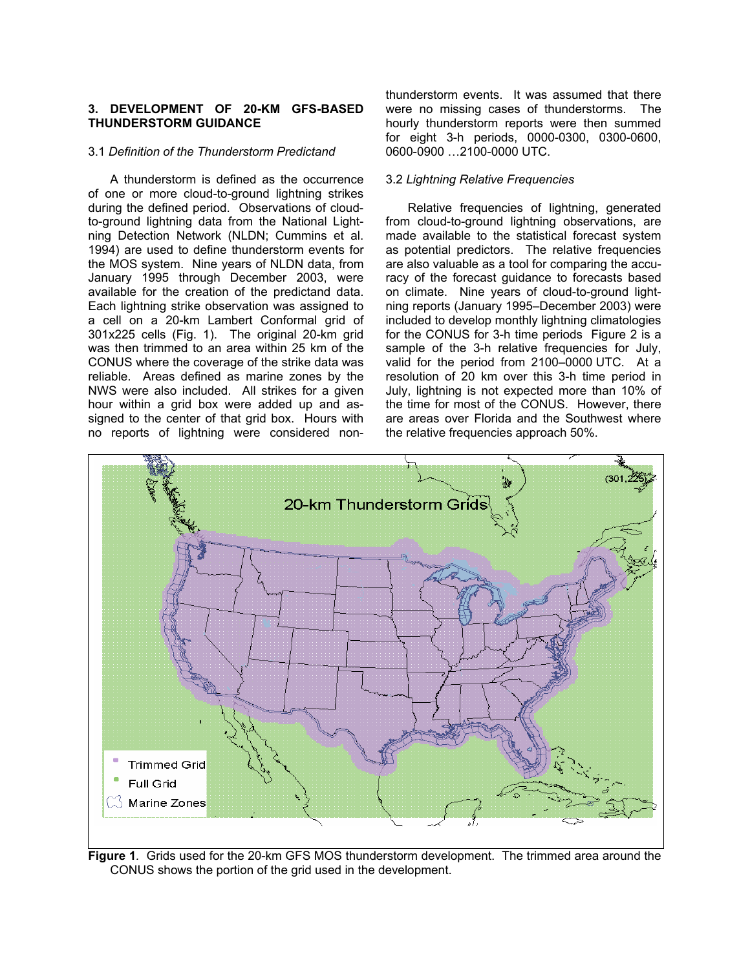# **3. DEVELOPMENT OF 20-KM GFS-BASED THUNDERSTORM GUIDANCE**

#### 3.1 *Definition of the Thunderstorm Predictand*

A thunderstorm is defined as the occurrence of one or more cloud-to-ground lightning strikes during the defined period. Observations of cloudto-ground lightning data from the National Lightning Detection Network (NLDN; Cummins et al. 1994) are used to define thunderstorm events for the MOS system. Nine years of NLDN data, from January 1995 through December 2003, were available for the creation of the predictand data. Each lightning strike observation was assigned to a cell on a 20-km Lambert Conformal grid of 301x225 cells (Fig. 1). The original 20-km grid was then trimmed to an area within 25 km of the CONUS where the coverage of the strike data was reliable. Areas defined as marine zones by the NWS were also included. All strikes for a given hour within a grid box were added up and assigned to the center of that grid box. Hours with no reports of lightning were considered nonthunderstorm events. It was assumed that there were no missing cases of thunderstorms. The hourly thunderstorm reports were then summed for eight 3-h periods, 0000-0300, 0300-0600, 0600-0900 …2100-0000 UTC.

#### 3.2 *Lightning Relative Frequencies*

Relative frequencies of lightning, generated from cloud-to-ground lightning observations, are made available to the statistical forecast system as potential predictors. The relative frequencies are also valuable as a tool for comparing the accuracy of the forecast guidance to forecasts based on climate. Nine years of cloud-to-ground lightning reports (January 1995–December 2003) were included to develop monthly lightning climatologies for the CONUS for 3-h time periods Figure 2 is a sample of the 3-h relative frequencies for July, valid for the period from 2100–0000 UTC. At a resolution of 20 km over this 3-h time period in July, lightning is not expected more than 10% of the time for most of the CONUS. However, there are areas over Florida and the Southwest where the relative frequencies approach 50%.



**Figure 1***.* Grids used for the 20-km GFS MOS thunderstorm development. The trimmed area around the CONUS shows the portion of the grid used in the development.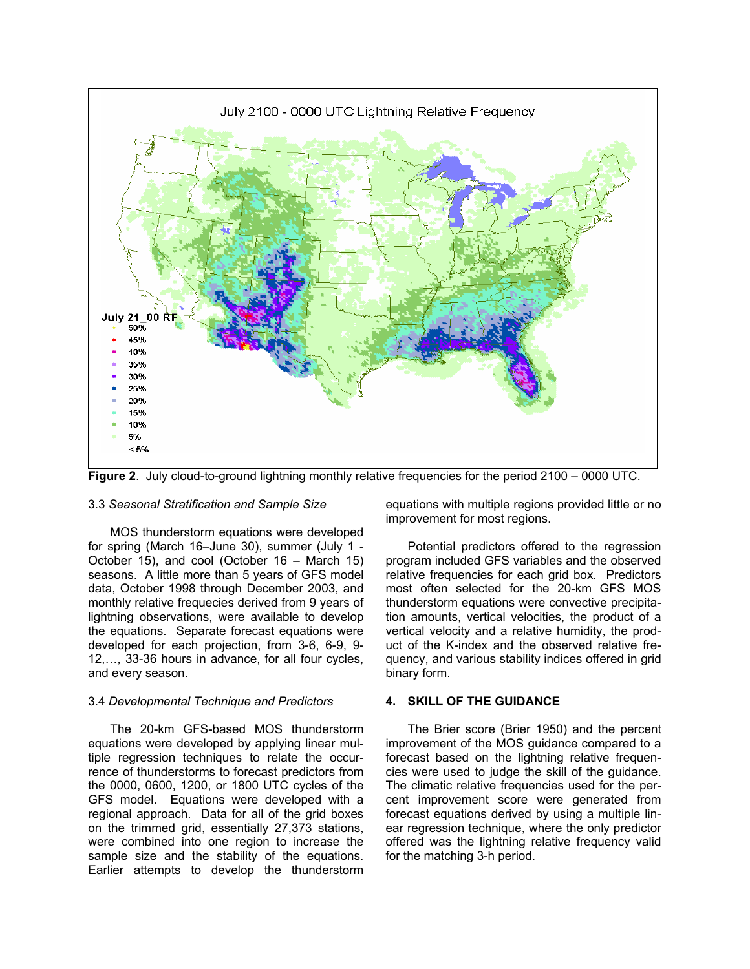

**Figure 2**. July cloud-to-ground lightning monthly relative frequencies for the period 2100 – 0000 UTC.

#### 3.3 *Seasonal Stratification and Sample Size*

MOS thunderstorm equations were developed for spring (March 16–June 30), summer (July 1 - October 15), and cool (October 16 – March 15) seasons. A little more than 5 years of GFS model data, October 1998 through December 2003, and monthly relative frequecies derived from 9 years of lightning observations, were available to develop the equations. Separate forecast equations were developed for each projection, from 3-6, 6-9, 9- 12,…, 33-36 hours in advance, for all four cycles, and every season.

#### 3.4 *Developmental Technique and Predictors*

The 20-km GFS-based MOS thunderstorm equations were developed by applying linear multiple regression techniques to relate the occurrence of thunderstorms to forecast predictors from the 0000, 0600, 1200, or 1800 UTC cycles of the GFS model. Equations were developed with a regional approach. Data for all of the grid boxes on the trimmed grid, essentially 27,373 stations, were combined into one region to increase the sample size and the stability of the equations. Earlier attempts to develop the thunderstorm equations with multiple regions provided little or no improvement for most regions.

 Potential predictors offered to the regression program included GFS variables and the observed relative frequencies for each grid box. Predictors most often selected for the 20-km GFS MOS thunderstorm equations were convective precipitation amounts, vertical velocities, the product of a vertical velocity and a relative humidity, the product of the K-index and the observed relative frequency, and various stability indices offered in grid binary form.

#### **4. SKILL OF THE GUIDANCE**

The Brier score (Brier 1950) and the percent improvement of the MOS guidance compared to a forecast based on the lightning relative frequencies were used to judge the skill of the guidance. The climatic relative frequencies used for the percent improvement score were generated from forecast equations derived by using a multiple linear regression technique, where the only predictor offered was the lightning relative frequency valid for the matching 3-h period.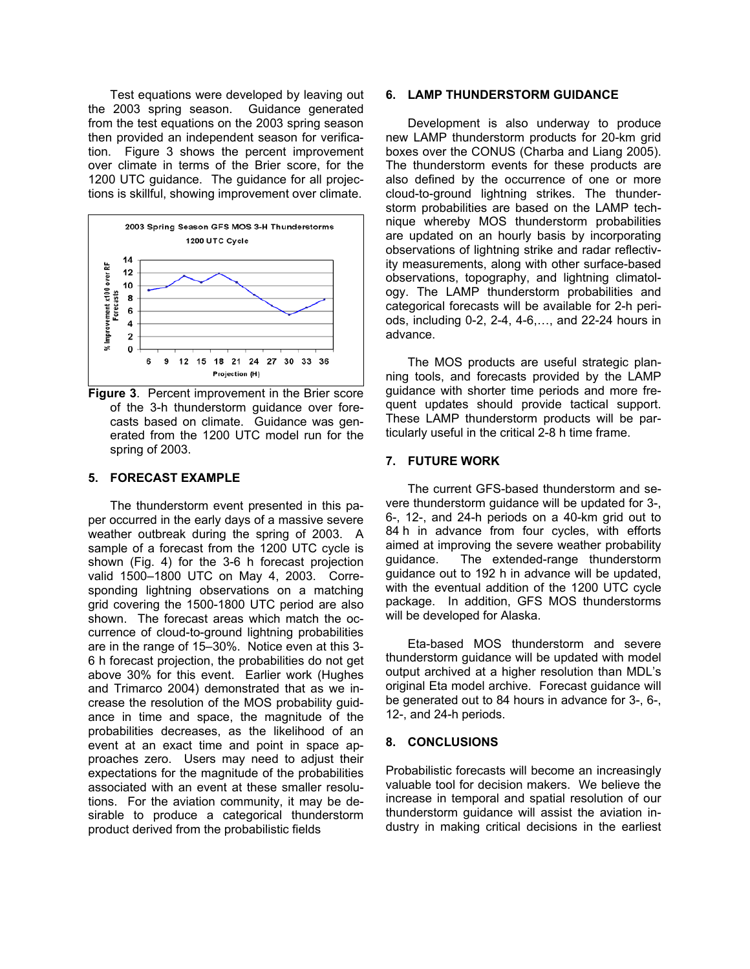Test equations were developed by leaving out the 2003 spring season. Guidance generated from the test equations on the 2003 spring season then provided an independent season for verification. Figure 3 shows the percent improvement over climate in terms of the Brier score, for the 1200 UTC guidance. The guidance for all projections is skillful, showing improvement over climate.



**Figure 3**. Percent improvement in the Brier score of the 3-h thunderstorm guidance over forecasts based on climate. Guidance was generated from the 1200 UTC model run for the spring of 2003.

# **5. FORECAST EXAMPLE**

The thunderstorm event presented in this paper occurred in the early days of a massive severe weather outbreak during the spring of 2003. A sample of a forecast from the 1200 UTC cycle is shown (Fig. 4) for the 3-6 h forecast projection valid 1500–1800 UTC on May 4, 2003. Corresponding lightning observations on a matching grid covering the 1500-1800 UTC period are also shown. The forecast areas which match the occurrence of cloud-to-ground lightning probabilities are in the range of 15–30%. Notice even at this 3- 6 h forecast projection, the probabilities do not get above 30% for this event. Earlier work (Hughes and Trimarco 2004) demonstrated that as we increase the resolution of the MOS probability guidance in time and space, the magnitude of the probabilities decreases, as the likelihood of an event at an exact time and point in space approaches zero. Users may need to adjust their expectations for the magnitude of the probabilities associated with an event at these smaller resolutions. For the aviation community, it may be desirable to produce a categorical thunderstorm product derived from the probabilistic fields

# **6. LAMP THUNDERSTORM GUIDANCE**

Development is also underway to produce new LAMP thunderstorm products for 20-km grid boxes over the CONUS (Charba and Liang 2005). The thunderstorm events for these products are also defined by the occurrence of one or more cloud-to-ground lightning strikes. The thunderstorm probabilities are based on the LAMP technique whereby MOS thunderstorm probabilities are updated on an hourly basis by incorporating observations of lightning strike and radar reflectivity measurements, along with other surface-based observations, topography, and lightning climatology. The LAMP thunderstorm probabilities and categorical forecasts will be available for 2-h periods, including 0-2, 2-4, 4-6,…, and 22-24 hours in advance.

The MOS products are useful strategic planning tools, and forecasts provided by the LAMP guidance with shorter time periods and more frequent updates should provide tactical support. These LAMP thunderstorm products will be particularly useful in the critical 2-8 h time frame.

# **7. FUTURE WORK**

The current GFS-based thunderstorm and severe thunderstorm guidance will be updated for 3-, 6-, 12-, and 24-h periods on a 40-km grid out to 84 h in advance from four cycles, with efforts aimed at improving the severe weather probability guidance. The extended-range thunderstorm guidance out to 192 h in advance will be updated, with the eventual addition of the 1200 UTC cycle package. In addition, GFS MOS thunderstorms will be developed for Alaska.

Eta-based MOS thunderstorm and severe thunderstorm guidance will be updated with model output archived at a higher resolution than MDL's original Eta model archive. Forecast guidance will be generated out to 84 hours in advance for 3-, 6-, 12-, and 24-h periods.

# **8. CONCLUSIONS**

Probabilistic forecasts will become an increasingly valuable tool for decision makers. We believe the increase in temporal and spatial resolution of our thunderstorm guidance will assist the aviation industry in making critical decisions in the earliest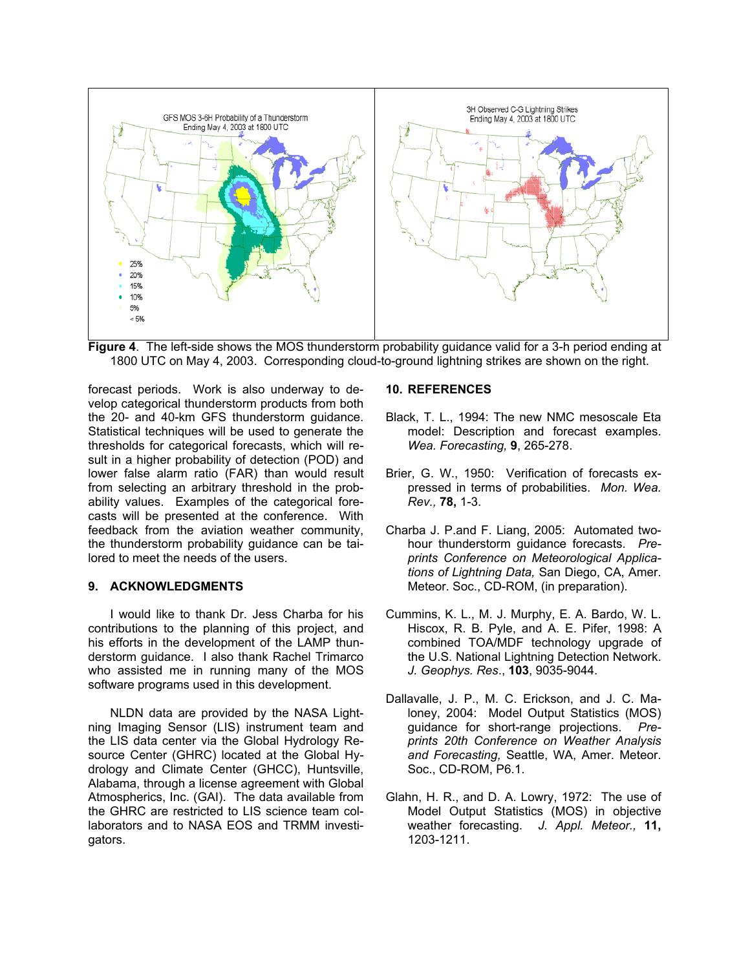

**Figure 4**. The left-side shows the MOS thunderstorm probability guidance valid for a 3-h period ending at 1800 UTC on May 4, 2003. Corresponding cloud-to-ground lightning strikes are shown on the right.

forecast periods. Work is also underway to develop categorical thunderstorm products from both the 20- and 40-km GFS thunderstorm guidance. Statistical techniques will be used to generate the thresholds for categorical forecasts, which will result in a higher probability of detection (POD) and lower false alarm ratio (FAR) than would result from selecting an arbitrary threshold in the probability values. Examples of the categorical forecasts will be presented at the conference. With feedback from the aviation weather community, the thunderstorm probability guidance can be tailored to meet the needs of the users.

# **9. ACKNOWLEDGMENTS**

I would like to thank Dr. Jess Charba for his contributions to the planning of this project, and his efforts in the development of the LAMP thunderstorm guidance. I also thank Rachel Trimarco who assisted me in running many of the MOS software programs used in this development.

NLDN data are provided by the NASA Lightning Imaging Sensor (LIS) instrument team and the LIS data center via the Global Hydrology Resource Center (GHRC) located at the Global Hydrology and Climate Center (GHCC), Huntsville, Alabama, through a license agreement with Global Atmospherics, Inc. (GAI). The data available from the GHRC are restricted to LIS science team collaborators and to NASA EOS and TRMM investigators.

#### **10. REFERENCES**

- Black, T. L., 1994: The new NMC mesoscale Eta model: Description and forecast examples. *Wea. Forecasting,* **9**, 265-278.
- Brier, G. W., 1950: Verification of forecasts expressed in terms of probabilities. *Mon. Wea. Rev.,* **78,** 1-3.
- Charba J. P.and F. Liang, 2005: Automated twohour thunderstorm guidance forecasts. *Preprints Conference on Meteorological Applications of Lightning Data,* San Diego, CA, Amer. Meteor. Soc., CD-ROM, (in preparation).
- Cummins, K. L., M. J. Murphy, E. A. Bardo, W. L. Hiscox, R. B. Pyle, and A. E. Pifer, 1998: A combined TOA/MDF technology upgrade of the U.S. National Lightning Detection Network. *J. Geophys. Res*., **103**, 9035-9044.
- Dallavalle, J. P., M. C. Erickson, and J. C. Maloney, 2004: Model Output Statistics (MOS) guidance for short-range projections. *Preprints 20th Conference on Weather Analysis and Forecasting,* Seattle, WA, Amer. Meteor. Soc., CD-ROM, P6.1.
- Glahn, H. R., and D. A. Lowry, 1972: The use of Model Output Statistics (MOS) in objective weather forecasting. *J. Appl. Meteor.,* **11,** 1203-1211.